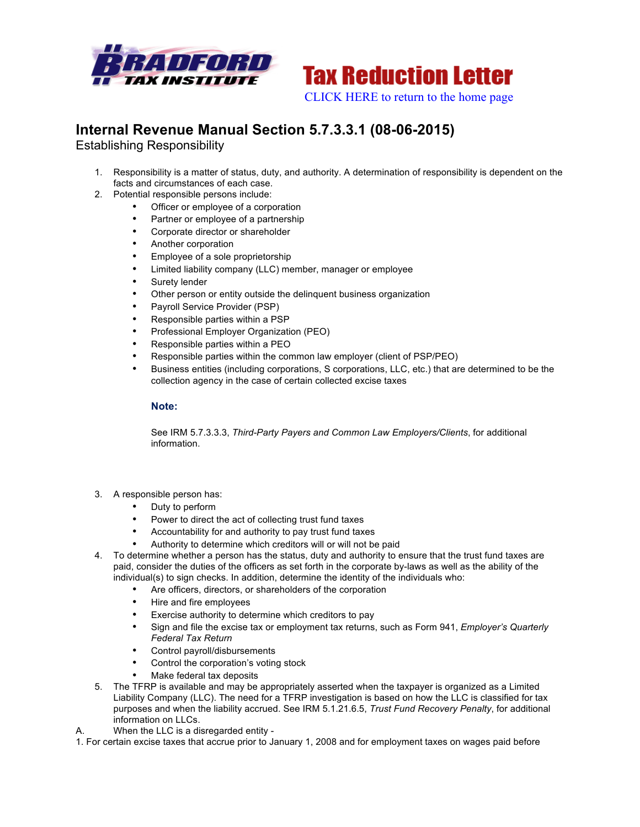



## **Internal Revenue Manual Section 5.7.3.3.1 (08-06-2015)**

Establishing Responsibility

- 1. Responsibility is a matter of status, duty, and authority. A determination of responsibility is dependent on the facts and circumstances of each case.
- 2. Potential responsible persons include:
	- Officer or employee of a corporation
	- Partner or employee of a partnership
	- Corporate director or shareholder
	- Another corporation
	- Employee of a sole proprietorship
	- Limited liability company (LLC) member, manager or employee
	- Surety lender
	- Other person or entity outside the delinquent business organization
	- Payroll Service Provider (PSP)
	- Responsible parties within a PSP
	- Professional Employer Organization (PEO)
	- Responsible parties within a PEO
	- Responsible parties within the common law employer (client of PSP/PEO)
	- Business entities (including corporations, S corporations, LLC, etc.) that are determined to be the collection agency in the case of certain collected excise taxes

## **Note:**

See IRM 5.7.3.3.3, *Third-Party Payers and Common Law Employers/Clients*, for additional information.

- 3. A responsible person has:
	- Duty to perform
	- Power to direct the act of collecting trust fund taxes
	- Accountability for and authority to pay trust fund taxes
	- Authority to determine which creditors will or will not be paid
- 4. To determine whether a person has the status, duty and authority to ensure that the trust fund taxes are paid, consider the duties of the officers as set forth in the corporate by-laws as well as the ability of the individual(s) to sign checks. In addition, determine the identity of the individuals who:
	- Are officers, directors, or shareholders of the corporation
	- Hire and fire employees
	- Exercise authority to determine which creditors to pay
	- Sign and file the excise tax or employment tax returns, such as Form 941, *Employer's Quarterly Federal Tax Return*
	- Control payroll/disbursements
	- Control the corporation's voting stock
	- Make federal tax deposits
- 5. The TFRP is available and may be appropriately asserted when the taxpayer is organized as a Limited Liability Company (LLC). The need for a TFRP investigation is based on how the LLC is classified for tax purposes and when the liability accrued. See IRM 5.1.21.6.5, *Trust Fund Recovery Penalty*, for additional information on LLCs.
- A. When the LLC is a disregarded entity -

1. For certain excise taxes that accrue prior to January 1, 2008 and for employment taxes on wages paid before